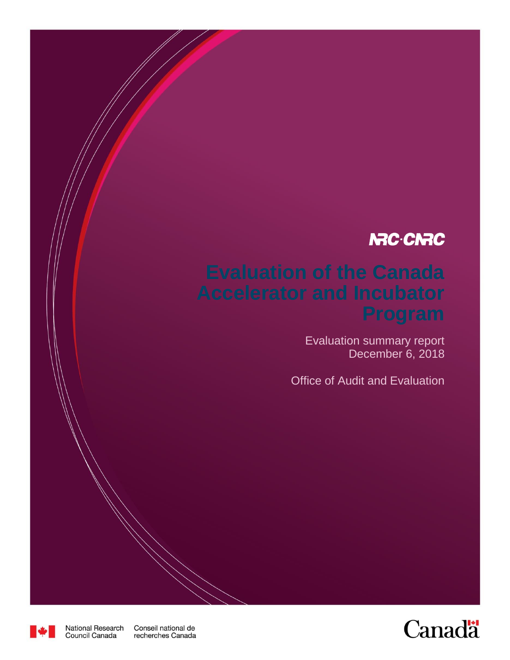# **NRC-CNRC**

# **Evaluation of the Canada**

Evaluation summary report December 6, 2018

Office of Audit and Evaluation





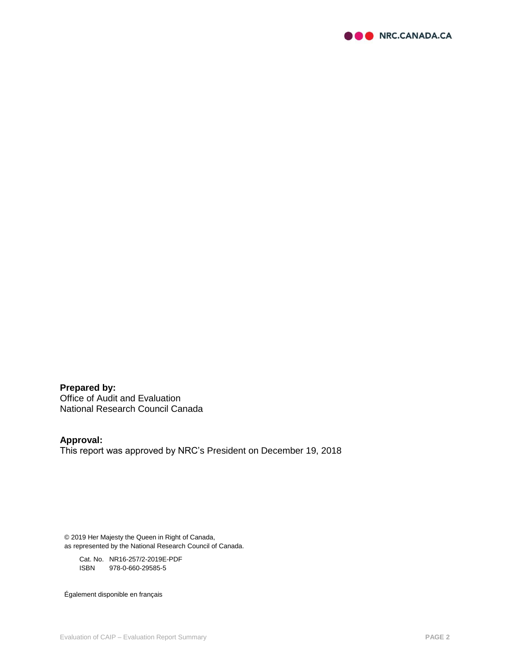

**Prepared by:**  Office of Audit and Evaluation National Research Council Canada

# **Approval:**

This report was approved by NRC's President on December 19, 2018

© 2019 Her Majesty the Queen in Right of Canada, as represented by the National Research Council of Canada.

Cat. No. NR16-257/2-2019E-PDF ISBN 978-0-660-29585-5

Également disponible en français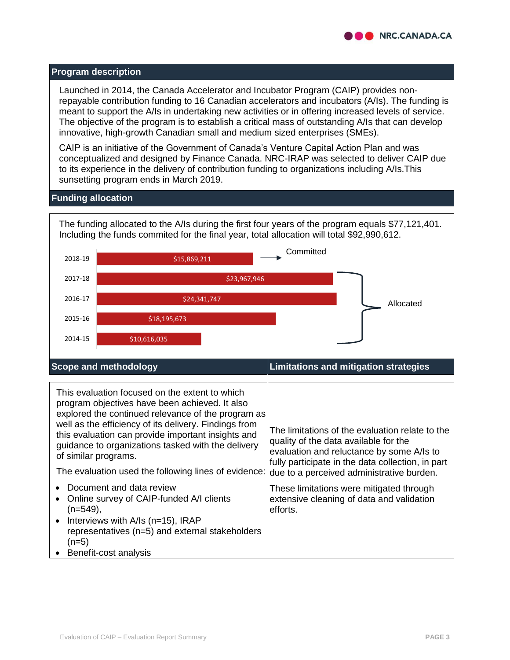

#### **Program description**

Launched in 2014, the Canada Accelerator and Incubator Program (CAIP) provides nonrepayable contribution funding to 16 Canadian accelerators and incubators (A/Is). The funding is meant to support the A/Is in undertaking new activities or in offering increased levels of service. The objective of the program is to establish a critical mass of outstanding A/Is that can develop innovative, high-growth Canadian small and medium sized enterprises (SMEs).

CAIP is an initiative of the Government of Canada's Venture Capital Action Plan and was conceptualized and designed by Finance Canada. NRC-IRAP was selected to deliver CAIP due to its experience in the delivery of contribution funding to organizations including A/Is.This sunsetting program ends in March 2019.

#### **Funding allocation**



| This evaluation focused on the extent to which<br>program objectives have been achieved. It also<br>explored the continued relevance of the program as<br>well as the efficiency of its delivery. Findings from<br>this evaluation can provide important insights and<br>guidance to organizations tasked with the delivery<br>of similar programs.<br>The evaluation used the following lines of evidence: | The limitations of the evaluation relate to the<br>quality of the data available for the<br>evaluation and reluctance by some A/Is to<br>fully participate in the data collection, in part<br>due to a perceived administrative burden. |
|-------------------------------------------------------------------------------------------------------------------------------------------------------------------------------------------------------------------------------------------------------------------------------------------------------------------------------------------------------------------------------------------------------------|-----------------------------------------------------------------------------------------------------------------------------------------------------------------------------------------------------------------------------------------|
| Document and data review<br>Online survey of CAIP-funded A/I clients<br>$(n=549)$ ,<br>Interviews with A/Is (n=15), IRAP<br>representatives (n=5) and external stakeholders<br>$(n=5)$                                                                                                                                                                                                                      | These limitations were mitigated through<br>extensive cleaning of data and validation<br>efforts.                                                                                                                                       |
| • Benefit-cost analysis                                                                                                                                                                                                                                                                                                                                                                                     |                                                                                                                                                                                                                                         |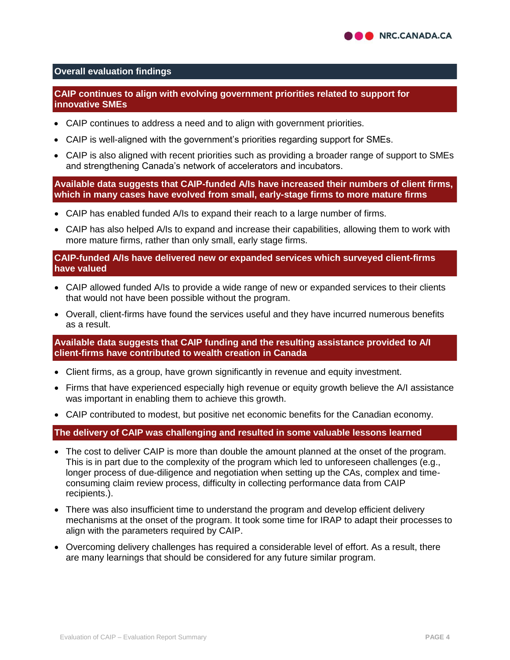## **Overall evaluation findings**

## **CAIP continues to align with evolving government priorities related to support for innovative SMEs**

- CAIP continues to address a need and to align with government priorities.
- CAIP is well-aligned with the government's priorities regarding support for SMEs.
- CAIP is also aligned with recent priorities such as providing a broader range of support to SMEs and strengthening Canada's network of accelerators and incubators.

**Available data suggests that CAIP-funded A/Is have increased their numbers of client firms, which in many cases have evolved from small, early-stage firms to more mature firms**

- CAIP has enabled funded A/Is to expand their reach to a large number of firms.
- CAIP has also helped A/Is to expand and increase their capabilities, allowing them to work with more mature firms, rather than only small, early stage firms.

## **CAIP-funded A/Is have delivered new or expanded services which surveyed client-firms have valued**

- CAIP allowed funded A/Is to provide a wide range of new or expanded services to their clients that would not have been possible without the program.
- Overall, client-firms have found the services useful and they have incurred numerous benefits as a result.

**Available data suggests that CAIP funding and the resulting assistance provided to A/I client-firms have contributed to wealth creation in Canada**

- Client firms, as a group, have grown significantly in revenue and equity investment.
- Firms that have experienced especially high revenue or equity growth believe the A/I assistance was important in enabling them to achieve this growth.
- CAIP contributed to modest, but positive net economic benefits for the Canadian economy.

#### **The delivery of CAIP was challenging and resulted in some valuable lessons learned**

- The cost to deliver CAIP is more than double the amount planned at the onset of the program. This is in part due to the complexity of the program which led to unforeseen challenges (e.g., longer process of due-diligence and negotiation when setting up the CAs, complex and timeconsuming claim review process, difficulty in collecting performance data from CAIP recipients.).
- There was also insufficient time to understand the program and develop efficient delivery mechanisms at the onset of the program. It took some time for IRAP to adapt their processes to align with the parameters required by CAIP.
- Overcoming delivery challenges has required a considerable level of effort. As a result, there are many learnings that should be considered for any future similar program.